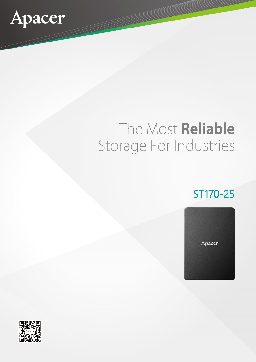

# The Most Reliable Storage For Industries

# ST170-25



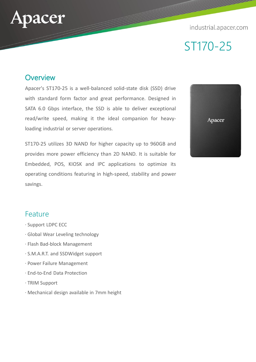### industrial.apacer.com



### **Overview**

acer

Apacer's ST170-25 is a well-balanced solid-state disk (SSD) drive with standard form factor and great performance. Designed in SATA 6.0 Gbps interface, the SSD is able to deliver exceptional read/write speed, making it the ideal companion for heavyloading industrial or server operations.

ST170-25 utilizes 3D NAND for higher capacity up to 960GB and provides more power efficiency than 2D NAND. It is suitable for Embedded, POS, KIOSK and IPC applications to optimize its operating conditions featuring in high-speed, stability and power savings.



### Feature

- ‧ Support LDPC ECC
- ‧ Global Wear Leveling technology
- ‧ Flash Bad-block Management
- ‧ S.M.A.R.T. and SSDWidget support
- ‧ Power Failure Management
- ‧ End-to-End Data Protection
- ‧ TRIM Support
- ‧ Mechanical design available in 7mm height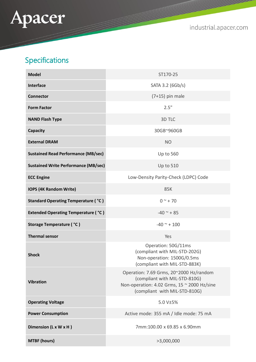

industrial.apacer.com

## Specifications

| <b>Model</b>                                | ST170-25                                                                                                                                                 |
|---------------------------------------------|----------------------------------------------------------------------------------------------------------------------------------------------------------|
| <b>Interface</b>                            | SATA 3.2 (6Gb/s)                                                                                                                                         |
| <b>Connector</b>                            | $(7+15)$ pin male                                                                                                                                        |
| <b>Form Factor</b>                          | 2.5"                                                                                                                                                     |
| <b>NAND Flash Type</b>                      | 3D TLC                                                                                                                                                   |
| <b>Capacity</b>                             | 30GB~960GB                                                                                                                                               |
| <b>External DRAM</b>                        | <b>NO</b>                                                                                                                                                |
| <b>Sustained Read Performance (MB/sec)</b>  | <b>Up to 560</b>                                                                                                                                         |
| <b>Sustained Write Performance (MB/sec)</b> | <b>Up to 510</b>                                                                                                                                         |
| <b>ECC Engine</b>                           | Low-Density Parity-Check (LDPC) Code                                                                                                                     |
| <b>IOPS (4K Random Write)</b>               | 85K                                                                                                                                                      |
| <b>Standard Operating Temperature ( °C)</b> | $0^{\sim}$ + 70                                                                                                                                          |
| <b>Extended Operating Temperature (°C)</b>  | $-40$ ~ + 85                                                                                                                                             |
| <b>Storage Temperature ( °C)</b>            | $-40$ ~ + 100                                                                                                                                            |
| <b>Thermal sensor</b>                       | Yes                                                                                                                                                      |
| <b>Shock</b>                                | Operation: 50G/11ms<br>(compliant with MIL-STD-202G)<br>Non-operation: 1500G/0.5ms<br>(compliant with MIL-STD-883K)                                      |
| <b>Vibration</b>                            | Operation: 7.69 Grms, 20~2000 Hz/random<br>(compliant with MIL-STD-810G)<br>Non-operation: 4.02 Grms, 15 ~ 2000 Hz/sine<br>(compliant with MIL-STD-810G) |
| <b>Operating Voltage</b>                    | 5.0 V±5%                                                                                                                                                 |
| <b>Power Consumption</b>                    | Active mode: 355 mA / Idle mode: 75 mA                                                                                                                   |
| Dimension (L x W x H)                       | 7mm:100.00 x 69.85 x 6.90mm                                                                                                                              |
| <b>MTBF (hours)</b>                         | >3,000,000                                                                                                                                               |